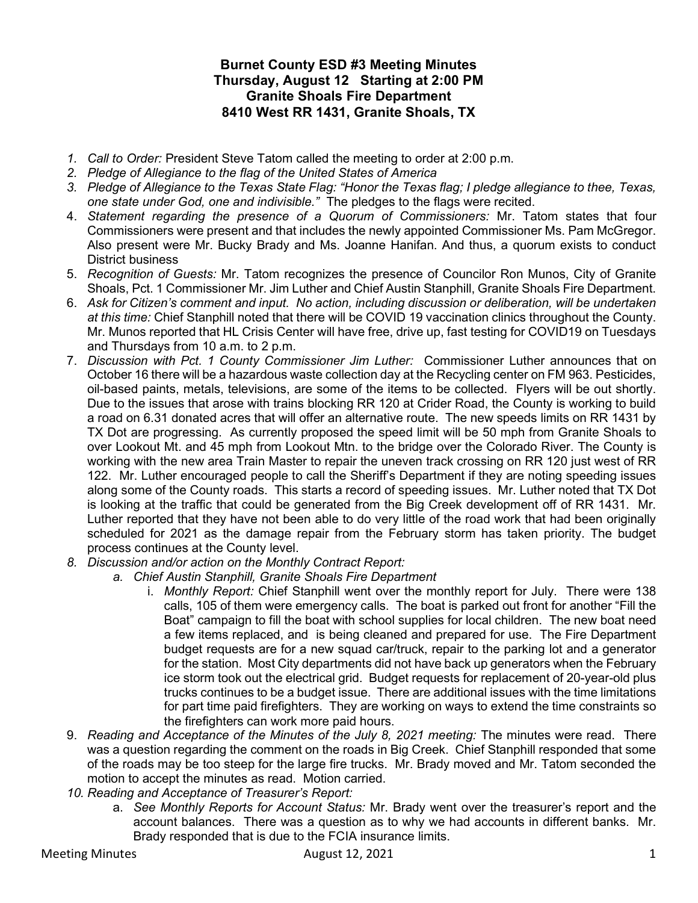## Burnet County ESD #3 Meeting Minutes Thursday, August 12 Starting at 2:00 PM Granite Shoals Fire Department 8410 West RR 1431, Granite Shoals, TX

- 1. Call to Order: President Steve Tatom called the meeting to order at 2:00 p.m.
- 2. Pledge of Allegiance to the flag of the United States of America
- 3. Pledge of Allegiance to the Texas State Flag: "Honor the Texas flag; I pledge allegiance to thee, Texas, one state under God, one and indivisible." The pledges to the flags were recited.
- 4. Statement regarding the presence of a Quorum of Commissioners: Mr. Tatom states that four Commissioners were present and that includes the newly appointed Commissioner Ms. Pam McGregor. Also present were Mr. Bucky Brady and Ms. Joanne Hanifan. And thus, a quorum exists to conduct District business
- 5. Recognition of Guests: Mr. Tatom recognizes the presence of Councilor Ron Munos, City of Granite Shoals, Pct. 1 Commissioner Mr. Jim Luther and Chief Austin Stanphill, Granite Shoals Fire Department.
- 6. Ask for Citizen's comment and input. No action, including discussion or deliberation, will be undertaken at this time: Chief Stanphill noted that there will be COVID 19 vaccination clinics throughout the County. Mr. Munos reported that HL Crisis Center will have free, drive up, fast testing for COVID19 on Tuesdays and Thursdays from 10 a.m. to 2 p.m.
- 7. Discussion with Pct. 1 County Commissioner Jim Luther: Commissioner Luther announces that on October 16 there will be a hazardous waste collection day at the Recycling center on FM 963. Pesticides, oil-based paints, metals, televisions, are some of the items to be collected. Flyers will be out shortly. Due to the issues that arose with trains blocking RR 120 at Crider Road, the County is working to build a road on 6.31 donated acres that will offer an alternative route. The new speeds limits on RR 1431 by TX Dot are progressing. As currently proposed the speed limit will be 50 mph from Granite Shoals to over Lookout Mt. and 45 mph from Lookout Mtn. to the bridge over the Colorado River. The County is working with the new area Train Master to repair the uneven track crossing on RR 120 just west of RR 122. Mr. Luther encouraged people to call the Sheriff's Department if they are noting speeding issues along some of the County roads. This starts a record of speeding issues. Mr. Luther noted that TX Dot is looking at the traffic that could be generated from the Big Creek development off of RR 1431. Mr. Luther reported that they have not been able to do very little of the road work that had been originally scheduled for 2021 as the damage repair from the February storm has taken priority. The budget process continues at the County level.
- 8. Discussion and/or action on the Monthly Contract Report:
	- a. Chief Austin Stanphill, Granite Shoals Fire Department
		- i. Monthly Report: Chief Stanphill went over the monthly report for July. There were 138 calls, 105 of them were emergency calls. The boat is parked out front for another "Fill the Boat" campaign to fill the boat with school supplies for local children. The new boat need a few items replaced, and is being cleaned and prepared for use. The Fire Department budget requests are for a new squad car/truck, repair to the parking lot and a generator for the station. Most City departments did not have back up generators when the February ice storm took out the electrical grid. Budget requests for replacement of 20-year-old plus trucks continues to be a budget issue. There are additional issues with the time limitations for part time paid firefighters. They are working on ways to extend the time constraints so the firefighters can work more paid hours.
- 9. Reading and Acceptance of the Minutes of the July 8, 2021 meeting: The minutes were read. There was a question regarding the comment on the roads in Big Creek. Chief Stanphill responded that some of the roads may be too steep for the large fire trucks. Mr. Brady moved and Mr. Tatom seconded the motion to accept the minutes as read. Motion carried.
- 10. Reading and Acceptance of Treasurer's Report:
	- a. See Monthly Reports for Account Status: Mr. Brady went over the treasurer's report and the account balances. There was a question as to why we had accounts in different banks. Mr. Brady responded that is due to the FCIA insurance limits.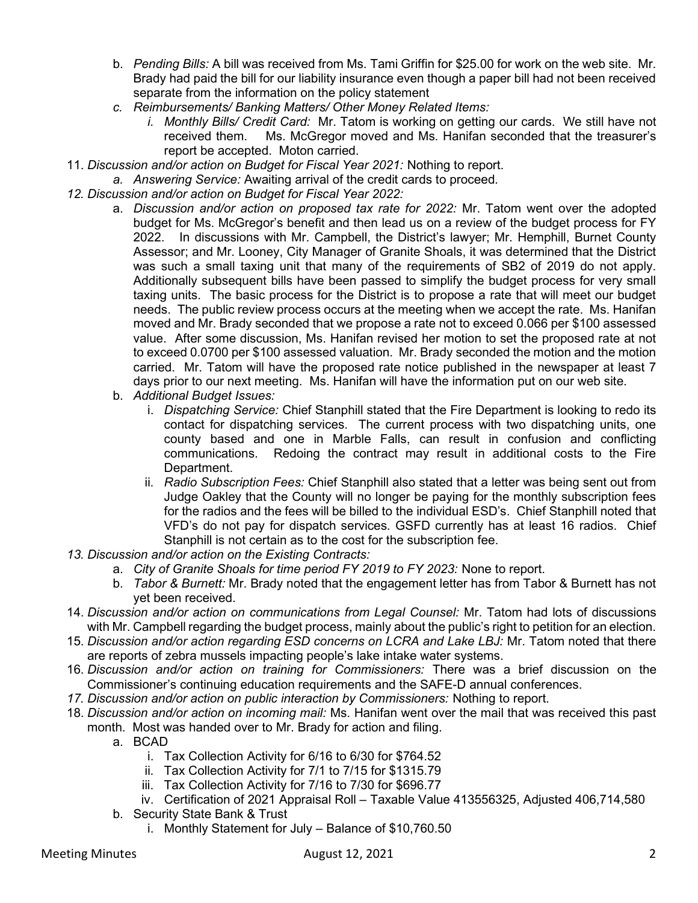- b. Pending Bills: A bill was received from Ms. Tami Griffin for \$25.00 for work on the web site. Mr. Brady had paid the bill for our liability insurance even though a paper bill had not been received separate from the information on the policy statement
- c. Reimbursements/ Banking Matters/ Other Money Related Items:
	- i. Monthly Bills/ Credit Card: Mr. Tatom is working on getting our cards. We still have not received them. Ms. McGregor moved and Ms. Hanifan seconded that the treasurer's report be accepted. Moton carried.
- 11. Discussion and/or action on Budget for Fiscal Year 2021: Nothing to report.
	- a. Answering Service: Awaiting arrival of the credit cards to proceed.
- 12. Discussion and/or action on Budget for Fiscal Year 2022:
	- a. Discussion and/or action on proposed tax rate for 2022: Mr. Tatom went over the adopted budget for Ms. McGregor's benefit and then lead us on a review of the budget process for FY 2022. In discussions with Mr. Campbell, the District's lawyer; Mr. Hemphill, Burnet County Assessor; and Mr. Looney, City Manager of Granite Shoals, it was determined that the District was such a small taxing unit that many of the requirements of SB2 of 2019 do not apply. Additionally subsequent bills have been passed to simplify the budget process for very small taxing units. The basic process for the District is to propose a rate that will meet our budget needs. The public review process occurs at the meeting when we accept the rate. Ms. Hanifan moved and Mr. Brady seconded that we propose a rate not to exceed 0.066 per \$100 assessed value. After some discussion, Ms. Hanifan revised her motion to set the proposed rate at not to exceed 0.0700 per \$100 assessed valuation. Mr. Brady seconded the motion and the motion carried. Mr. Tatom will have the proposed rate notice published in the newspaper at least 7 days prior to our next meeting. Ms. Hanifan will have the information put on our web site.
	- b. Additional Budget Issues:
		- i. Dispatching Service: Chief Stanphill stated that the Fire Department is looking to redo its contact for dispatching services. The current process with two dispatching units, one county based and one in Marble Falls, can result in confusion and conflicting communications. Redoing the contract may result in additional costs to the Fire Department.
		- ii. Radio Subscription Fees: Chief Stanphill also stated that a letter was being sent out from Judge Oakley that the County will no longer be paying for the monthly subscription fees for the radios and the fees will be billed to the individual ESD's. Chief Stanphill noted that VFD's do not pay for dispatch services. GSFD currently has at least 16 radios. Chief Stanphill is not certain as to the cost for the subscription fee.
- 13. Discussion and/or action on the Existing Contracts:
	- a. City of Granite Shoals for time period FY 2019 to FY 2023: None to report.
	- b. Tabor & Burnett: Mr. Brady noted that the engagement letter has from Tabor & Burnett has not yet been received.
- 14. Discussion and/or action on communications from Legal Counsel: Mr. Tatom had lots of discussions with Mr. Campbell regarding the budget process, mainly about the public's right to petition for an election.
- 15. Discussion and/or action regarding ESD concerns on LCRA and Lake LBJ: Mr. Tatom noted that there are reports of zebra mussels impacting people's lake intake water systems.
- 16. Discussion and/or action on training for Commissioners: There was a brief discussion on the Commissioner's continuing education requirements and the SAFE-D annual conferences.
- 17. Discussion and/or action on public interaction by Commissioners: Nothing to report.
- 18. Discussion and/or action on incoming mail: Ms. Hanifan went over the mail that was received this past month. Most was handed over to Mr. Brady for action and filing.
	- a. BCAD
		- i. Tax Collection Activity for 6/16 to 6/30 for \$764.52
		- ii. Tax Collection Activity for 7/1 to 7/15 for \$1315.79
		- iii. Tax Collection Activity for 7/16 to 7/30 for \$696.77
		- iv. Certification of 2021 Appraisal Roll Taxable Value 413556325, Adjusted 406,714,580
	- b. Security State Bank & Trust
		- i. Monthly Statement for July Balance of \$10,760.50